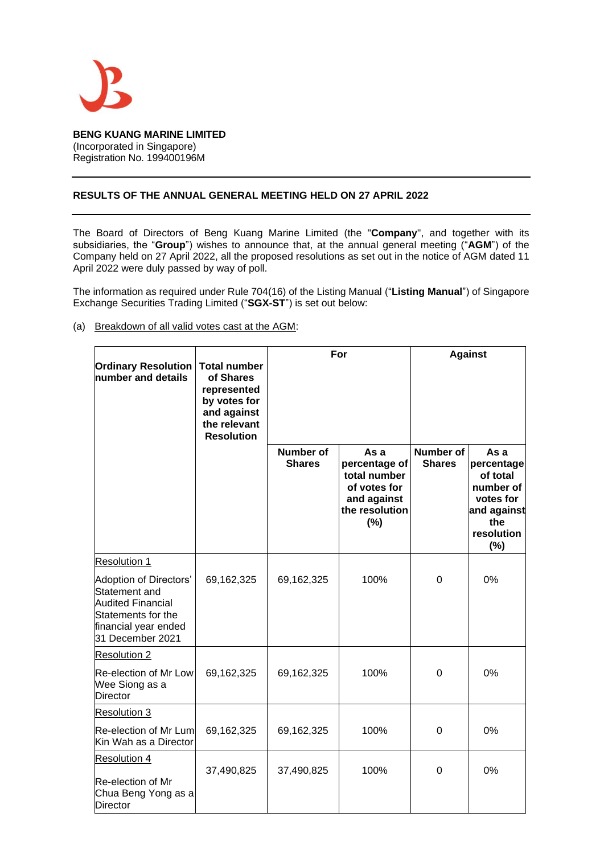

**BENG KUANG MARINE LIMITED** (Incorporated in Singapore) Registration No. 199400196M

## **RESULTS OF THE ANNUAL GENERAL MEETING HELD ON 27 APRIL 2022**

The Board of Directors of Beng Kuang Marine Limited (the "**Company**", and together with its subsidiaries, the "**Group**") wishes to announce that, at the annual general meeting ("**AGM**") of the Company held on 27 April 2022, all the proposed resolutions as set out in the notice of AGM dated 11 April 2022 were duly passed by way of poll.

The information as required under Rule 704(16) of the Listing Manual ("**Listing Manual**") of Singapore Exchange Securities Trading Limited ("**SGX-ST**") is set out below:

(a) Breakdown of all valid votes cast at the AGM:

| <b>Ordinary Resolution</b><br>number and details                                                                                                             | <b>Total number</b><br>of Shares<br>represented<br>by votes for<br>and against<br>the relevant<br><b>Resolution</b> | For                               |                                                                                               | <b>Against</b>                    |                                                                                                        |
|--------------------------------------------------------------------------------------------------------------------------------------------------------------|---------------------------------------------------------------------------------------------------------------------|-----------------------------------|-----------------------------------------------------------------------------------------------|-----------------------------------|--------------------------------------------------------------------------------------------------------|
|                                                                                                                                                              |                                                                                                                     | <b>Number of</b><br><b>Shares</b> | As a<br>percentage of<br>total number<br>of votes for<br>and against<br>the resolution<br>(%) | <b>Number of</b><br><b>Shares</b> | As a<br>percentage<br>of total<br>number of<br>votes for<br>and against<br>the<br>resolution<br>$(\%)$ |
| <b>Resolution 1</b><br>Adoption of Directors'<br>Statement and<br><b>Audited Financial</b><br>Statements for the<br>financial year ended<br>31 December 2021 | 69,162,325                                                                                                          | 69,162,325                        | 100%                                                                                          | $\Omega$                          | $0\%$                                                                                                  |
| <b>Resolution 2</b><br>Re-election of Mr Low<br>Wee Siong as a<br>Director                                                                                   | 69,162,325                                                                                                          | 69,162,325                        | 100%                                                                                          | 0                                 | 0%                                                                                                     |
| <b>Resolution 3</b><br>Re-election of Mr Lum<br>Kin Wah as a Director                                                                                        | 69,162,325                                                                                                          | 69,162,325                        | 100%                                                                                          | 0                                 | 0%                                                                                                     |
| <b>Resolution 4</b><br>Re-election of Mr<br>Chua Beng Yong as a<br><b>Director</b>                                                                           | 37,490,825                                                                                                          | 37,490,825                        | 100%                                                                                          | 0                                 | 0%                                                                                                     |